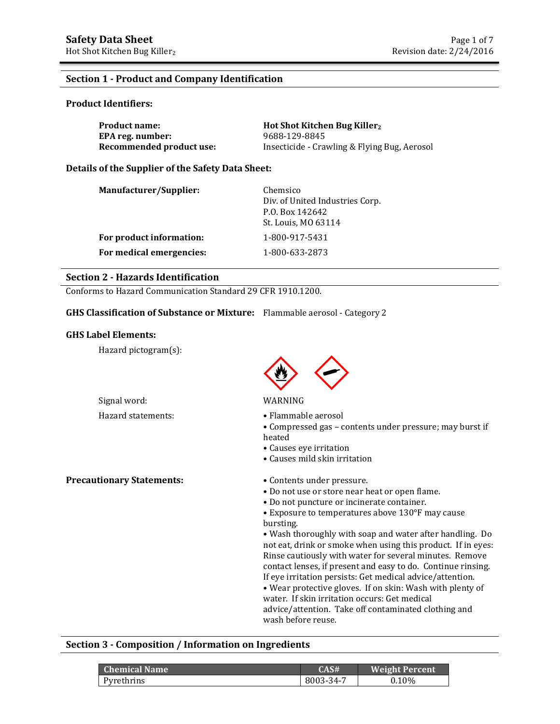#### **Section 1 - Product and Company Identification**

#### **Product Identifiers:**

| <b>Product name:</b>     | Hot Shot Kitchen Bug Killer <sub>2</sub>     |
|--------------------------|----------------------------------------------|
| EPA reg. number:         | 9688-129-8845                                |
| Recommended product use: | Insecticide - Crawling & Flying Bug, Aerosol |

#### **Details of the Supplier of the Safety Data Sheet:**

| Manufacturer/Supplier:   | Chemsico<br>Div. of United Industries Corp.<br>P.O. Box 142642 |
|--------------------------|----------------------------------------------------------------|
| For product information: | St. Louis, MO 63114<br>1-800-917-5431                          |
| For medical emergencies: | 1-800-633-2873                                                 |

#### **Section 2 - Hazards Identification**

Conforms to Hazard Communication Standard 29 CFR 1910.1200.

#### **GHS Classification of Substance or Mixture:** Flammable aerosol - Category 2

#### **GHS Label Elements:**

Hazard pictogram(s):



#### Signal word: WARNING

- Hazard statements: • Flammable aerosol
	- Compressed gas contents under pressure; may burst if heated
	- Causes eye irritation
	- Causes mild skin irritation

**Precautionary Statements:** • Contents under pressure.

- Do not use or store near heat or open flame.
- Do not puncture or incinerate container.
- Exposure to temperatures above 130°F may cause bursting.

• Wash thoroughly with soap and water after handling. Do not eat, drink or smoke when using this product. If in eyes: Rinse cautiously with water for several minutes. Remove contact lenses, if present and easy to do. Continue rinsing. If eye irritation persists: Get medical advice/attention. • Wear protective gloves. If on skin: Wash with plenty of water. If skin irritation occurs: Get medical advice/attention. Take off contaminated clothing and wash before reuse.

#### **Section 3 - Composition / Information on Ingredients**

| <b>Chemical Name</b> | CAS#      | <b>Weight Percent</b> |
|----------------------|-----------|-----------------------|
| Pyrethrins           | 8003-34-7 | $0.10\%$              |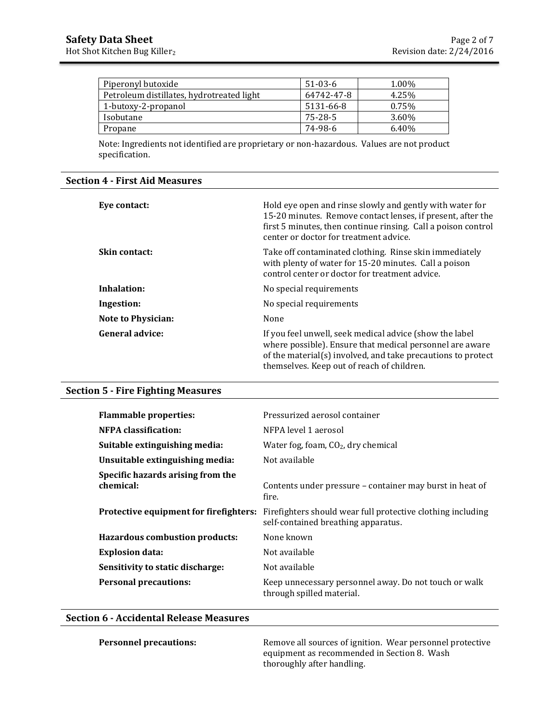| Piperonyl butoxide                        | $51-03-6$  | 1.00% |
|-------------------------------------------|------------|-------|
| Petroleum distillates, hydrotreated light | 64742-47-8 | 4.25% |
| 1-butoxy-2-propanol                       | 5131-66-8  | 0.75% |
| Isobutane                                 | 75-28-5    | 3.60% |
| Propane                                   | 74-98-6    | 6.40% |

Note: Ingredients not identified are proprietary or non-hazardous. Values are not product specification.

#### **Section 4 - First Aid Measures**

| Eye contact:              | Hold eye open and rinse slowly and gently with water for<br>15-20 minutes. Remove contact lenses, if present, after the<br>first 5 minutes, then continue rinsing. Call a poison control<br>center or doctor for treatment advice. |
|---------------------------|------------------------------------------------------------------------------------------------------------------------------------------------------------------------------------------------------------------------------------|
| <b>Skin contact:</b>      | Take off contaminated clothing. Rinse skin immediately<br>with plenty of water for 15-20 minutes. Call a poison<br>control center or doctor for treatment advice.                                                                  |
| Inhalation:               | No special requirements                                                                                                                                                                                                            |
| Ingestion:                | No special requirements                                                                                                                                                                                                            |
| <b>Note to Physician:</b> | None                                                                                                                                                                                                                               |
| <b>General advice:</b>    | If you feel unwell, seek medical advice (show the label<br>where possible). Ensure that medical personnel are aware<br>of the material(s) involved, and take precautions to protect<br>themselves. Keep out of reach of children.  |

#### **Section 5 - Fire Fighting Measures**

| <b>Flammable properties:</b>                   | Pressurized aerosol container                                                                      |
|------------------------------------------------|----------------------------------------------------------------------------------------------------|
| <b>NFPA</b> classification:                    | NFPA level 1 aerosol                                                                               |
| Suitable extinguishing media:                  | Water fog, foam, $CO2$ , dry chemical                                                              |
| Unsuitable extinguishing media:                | Not available                                                                                      |
| Specific hazards arising from the<br>chemical: | Contents under pressure – container may burst in heat of<br>fire.                                  |
| Protective equipment for firefighters:         | Firefighters should wear full protective clothing including<br>self-contained breathing apparatus. |
| <b>Hazardous combustion products:</b>          | None known                                                                                         |
| <b>Explosion data:</b>                         | Not available                                                                                      |
| Sensitivity to static discharge:               | Not available                                                                                      |
| <b>Personal precautions:</b>                   | Keep unnecessary personnel away. Do not touch or walk<br>through spilled material.                 |

#### **Section 6 - Accidental Release Measures**

**Personnel precautions:** Remove all sources of ignition. Wear personnel protective equipment as recommended in Section 8. Wash thoroughly after handling.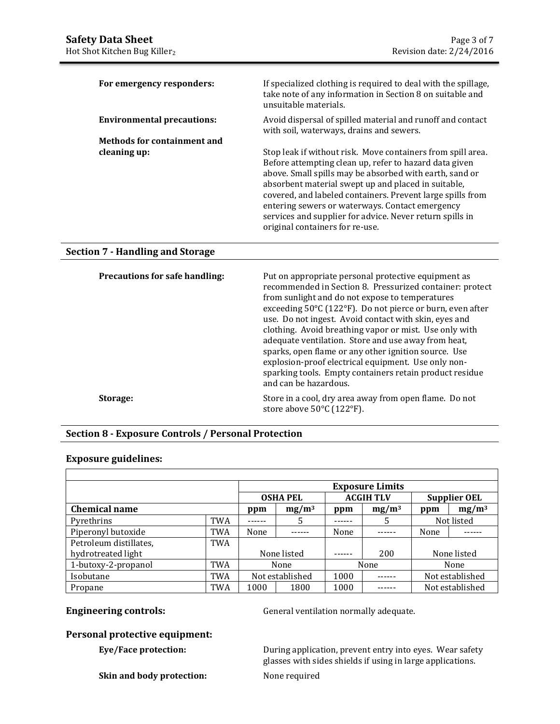| For emergency responders:          | If specialized clothing is required to deal with the spillage,<br>take note of any information in Section 8 on suitable and<br>unsuitable materials.                                                                                                                                                                                                                                                                                                    |
|------------------------------------|---------------------------------------------------------------------------------------------------------------------------------------------------------------------------------------------------------------------------------------------------------------------------------------------------------------------------------------------------------------------------------------------------------------------------------------------------------|
| <b>Environmental precautions:</b>  | Avoid dispersal of spilled material and runoff and contact<br>with soil, waterways, drains and sewers.                                                                                                                                                                                                                                                                                                                                                  |
| <b>Methods for containment and</b> |                                                                                                                                                                                                                                                                                                                                                                                                                                                         |
| cleaning up:                       | Stop leak if without risk. Move containers from spill area.<br>Before attempting clean up, refer to hazard data given<br>above. Small spills may be absorbed with earth, sand or<br>absorbent material swept up and placed in suitable,<br>covered, and labeled containers. Prevent large spills from<br>entering sewers or waterways. Contact emergency<br>services and supplier for advice. Never return spills in<br>original containers for re-use. |

### **Section 7 - Handling and Storage**

| Precautions for safe handling: | Put on appropriate personal protective equipment as<br>recommended in Section 8. Pressurized container: protect<br>from sunlight and do not expose to temperatures<br>exceeding 50°C (122°F). Do not pierce or burn, even after<br>use. Do not ingest. Avoid contact with skin, eyes and<br>clothing. Avoid breathing vapor or mist. Use only with<br>adequate ventilation. Store and use away from heat,<br>sparks, open flame or any other ignition source. Use<br>explosion-proof electrical equipment. Use only non-<br>sparking tools. Empty containers retain product residue<br>and can be hazardous. |
|--------------------------------|--------------------------------------------------------------------------------------------------------------------------------------------------------------------------------------------------------------------------------------------------------------------------------------------------------------------------------------------------------------------------------------------------------------------------------------------------------------------------------------------------------------------------------------------------------------------------------------------------------------|
| Storage:                       | Store in a cool, dry area away from open flame. Do not<br>store above $50^{\circ}$ C (122 $^{\circ}$ F).                                                                                                                                                                                                                                                                                                                                                                                                                                                                                                     |

## **Section 8 - Exposure Controls / Personal Protection**

#### **Exposure guidelines:**

|                        |            | <b>Exposure Limits</b> |                 |       |                  |      |                     |
|------------------------|------------|------------------------|-----------------|-------|------------------|------|---------------------|
|                        |            |                        | <b>OSHA PEL</b> |       | <b>ACGIH TLV</b> |      | <b>Supplier OEL</b> |
| <b>Chemical name</b>   |            | $mg/m^3$<br>ppm        |                 | ppm   | $mg/m^3$         | ppm  | $mg/m^3$            |
| Pyrethrins             | <b>TWA</b> |                        | 5               | ----- |                  |      | Not listed          |
| Piperonyl butoxide     | <b>TWA</b> | None                   |                 | None  |                  | None |                     |
| Petroleum distillates, | TWA        |                        |                 |       |                  |      |                     |
| hydrotreated light     |            | None listed            |                 |       | 200              |      | None listed         |
| 1-butoxy-2-propanol    | <b>TWA</b> | None                   |                 |       | None             |      | None                |
| Isobutane              | <b>TWA</b> | Not established        |                 | 1000  |                  |      | Not established     |
| Propane                | <b>TWA</b> | 1000<br>1800           |                 | 1000  |                  |      | Not established     |

**Engineering controls: General ventilation normally adequate.** 

## **Personal protective equipment:**

**Skin and body protection:** None required

**Eye/Face protection:** During application, prevent entry into eyes. Wear safety glasses with sides shields if using in large applications.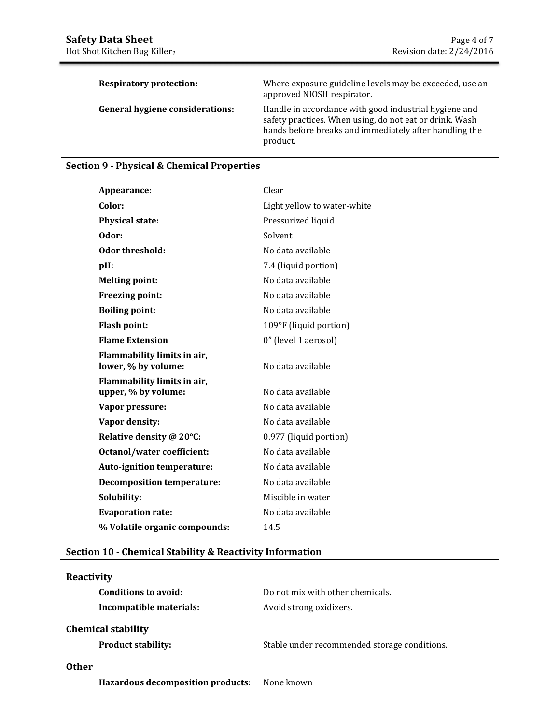| <b>Respiratory protection:</b>         | Where exposure guideline levels may be exceeded, use an<br>approved NIOSH respirator.                                                                                                  |
|----------------------------------------|----------------------------------------------------------------------------------------------------------------------------------------------------------------------------------------|
| <b>General hygiene considerations:</b> | Handle in accordance with good industrial hygiene and<br>safety practices. When using, do not eat or drink. Wash<br>hands before breaks and immediately after handling the<br>product. |

## **Section 9 - Physical & Chemical Properties**

| Appearance:                                        | Clear                       |
|----------------------------------------------------|-----------------------------|
| Color:                                             | Light yellow to water-white |
| <b>Physical state:</b>                             | Pressurized liquid          |
| Odor:                                              | Solvent                     |
| Odor threshold:                                    | No data available           |
| $pH$ :                                             | 7.4 (liquid portion)        |
| <b>Melting point:</b>                              | No data available           |
| Freezing point:                                    | No data available           |
| <b>Boiling point:</b>                              | No data available           |
| <b>Flash point:</b>                                | 109°F (liquid portion)      |
| <b>Flame Extension</b>                             | 0" (level 1 aerosol)        |
| Flammability limits in air,<br>lower, % by volume: | No data available           |
| Flammability limits in air,<br>upper, % by volume: | No data available           |
| Vapor pressure:                                    | No data available           |
| Vapor density:                                     | No data available           |
| Relative density @ 20°C:                           | 0.977 (liquid portion)      |
| <b>Octanol/water coefficient:</b>                  | No data available           |
| Auto-ignition temperature:                         | No data available           |
| <b>Decomposition temperature:</b>                  | No data available           |
| Solubility:                                        | Miscible in water           |
| <b>Evaporation rate:</b>                           | No data available           |
| % Volatile organic compounds:                      | 14.5                        |

#### **Section 10 - Chemical Stability & Reactivity Information**

# **Reactivity Conditions to avoid:** Do not mix with other chemicals. **Incompatible materials:** Avoid strong oxidizers. **Chemical stability Product stability:** Stable under recommended storage conditions. **Other**

**Hazardous decomposition products:** None known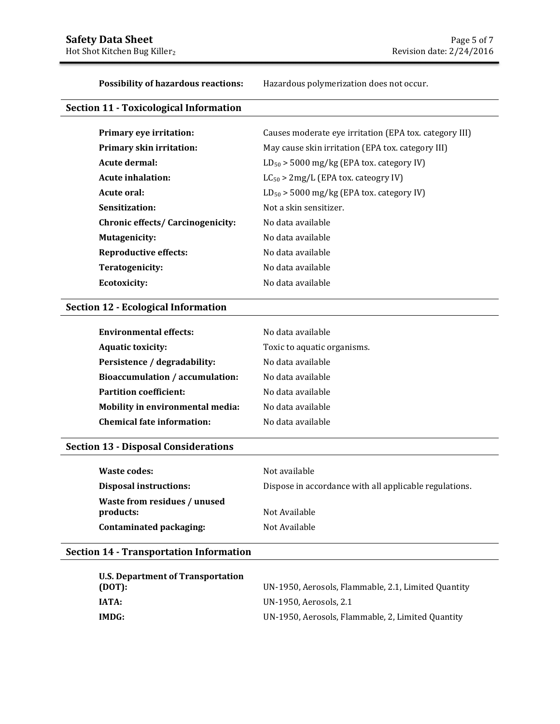**Possibility of hazardous reactions:** Hazardous polymerization does not occur.

## **Section 11 - Toxicological Information**

| <b>Primary eye irritation:</b>           | Causes moderate eye irritation (EPA tox. category III) |
|------------------------------------------|--------------------------------------------------------|
| Primary skin irritation:                 | May cause skin irritation (EPA tox. category III)      |
| Acute dermal:                            | $LD_{50}$ > 5000 mg/kg (EPA tox. category IV)          |
| Acute inhalation:                        | $LC_{50}$ > 2mg/L (EPA tox. cateogry IV)               |
| Acute oral:                              | $LD_{50}$ > 5000 mg/kg (EPA tox. category IV)          |
| Sensitization:                           | Not a skin sensitizer.                                 |
| <b>Chronic effects/ Carcinogenicity:</b> | No data available                                      |
| Mutagenicity:                            | No data available                                      |
| Reproductive effects:                    | No data available                                      |
| Teratogenicity:                          | No data available                                      |
| Ecotoxicity:                             | No data available                                      |

### **Section 12 - Ecological Information**

| <b>Environmental effects:</b>          | No data available           |
|----------------------------------------|-----------------------------|
| <b>Aquatic toxicity:</b>               | Toxic to aquatic organisms. |
| Persistence / degradability:           | No data available           |
| <b>Bioaccumulation / accumulation:</b> | No data available           |
| <b>Partition coefficient:</b>          | No data available           |
| Mobility in environmental media:       | No data available           |
| <b>Chemical fate information:</b>      | No data available           |

## **Section 13 - Disposal Considerations**

| Waste codes:                              | Not available                                          |
|-------------------------------------------|--------------------------------------------------------|
| <b>Disposal instructions:</b>             | Dispose in accordance with all applicable regulations. |
| Waste from residues / unused<br>products: | Not Available                                          |
| Contaminated packaging:                   | Not Available                                          |

## **Section 14 - Transportation Information**

| U.S. Department of Transportation |                                                     |
|-----------------------------------|-----------------------------------------------------|
| (DOT):                            | UN-1950, Aerosols, Flammable, 2.1, Limited Quantity |
| IATA:                             | UN-1950, Aerosols, 2.1                              |
| IMDG:                             | UN-1950, Aerosols, Flammable, 2, Limited Quantity   |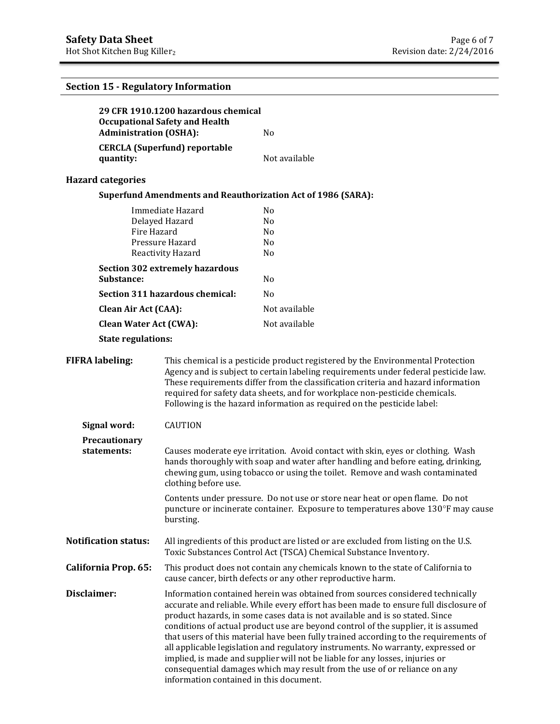## **Section 15 - Regulatory Information**

|                                        |                               | 29 CFR 1910.1200 hazardous chemical<br><b>Occupational Safety and Health</b><br><b>Administration (OSHA):</b><br>N <sub>o</sub>                                                                                                                                                                                                                                                                                                                                                                                                                                                                                                                                                                                                 |                                                                                                                                                                  |
|----------------------------------------|-------------------------------|---------------------------------------------------------------------------------------------------------------------------------------------------------------------------------------------------------------------------------------------------------------------------------------------------------------------------------------------------------------------------------------------------------------------------------------------------------------------------------------------------------------------------------------------------------------------------------------------------------------------------------------------------------------------------------------------------------------------------------|------------------------------------------------------------------------------------------------------------------------------------------------------------------|
|                                        |                               |                                                                                                                                                                                                                                                                                                                                                                                                                                                                                                                                                                                                                                                                                                                                 |                                                                                                                                                                  |
|                                        | quantity:                     | <b>CERCLA</b> (Superfund) reportable                                                                                                                                                                                                                                                                                                                                                                                                                                                                                                                                                                                                                                                                                            | Not available                                                                                                                                                    |
|                                        | <b>Hazard categories</b>      |                                                                                                                                                                                                                                                                                                                                                                                                                                                                                                                                                                                                                                                                                                                                 |                                                                                                                                                                  |
|                                        |                               |                                                                                                                                                                                                                                                                                                                                                                                                                                                                                                                                                                                                                                                                                                                                 | <b>Superfund Amendments and Reauthorization Act of 1986 (SARA):</b>                                                                                              |
|                                        |                               | Immediate Hazard                                                                                                                                                                                                                                                                                                                                                                                                                                                                                                                                                                                                                                                                                                                | N <sub>0</sub>                                                                                                                                                   |
|                                        |                               | Delayed Hazard                                                                                                                                                                                                                                                                                                                                                                                                                                                                                                                                                                                                                                                                                                                  | N <sub>0</sub>                                                                                                                                                   |
| Fire Hazard                            |                               |                                                                                                                                                                                                                                                                                                                                                                                                                                                                                                                                                                                                                                                                                                                                 | N <sub>0</sub>                                                                                                                                                   |
|                                        |                               | Pressure Hazard                                                                                                                                                                                                                                                                                                                                                                                                                                                                                                                                                                                                                                                                                                                 | N <sub>0</sub>                                                                                                                                                   |
|                                        |                               | Reactivity Hazard                                                                                                                                                                                                                                                                                                                                                                                                                                                                                                                                                                                                                                                                                                               | N <sub>o</sub>                                                                                                                                                   |
| <b>Section 302 extremely hazardous</b> |                               |                                                                                                                                                                                                                                                                                                                                                                                                                                                                                                                                                                                                                                                                                                                                 |                                                                                                                                                                  |
|                                        | Substance:                    |                                                                                                                                                                                                                                                                                                                                                                                                                                                                                                                                                                                                                                                                                                                                 | N <sub>0</sub>                                                                                                                                                   |
|                                        |                               | Section 311 hazardous chemical:                                                                                                                                                                                                                                                                                                                                                                                                                                                                                                                                                                                                                                                                                                 | N <sub>0</sub>                                                                                                                                                   |
|                                        | <b>Clean Air Act (CAA):</b>   |                                                                                                                                                                                                                                                                                                                                                                                                                                                                                                                                                                                                                                                                                                                                 | Not available                                                                                                                                                    |
|                                        | <b>Clean Water Act (CWA):</b> |                                                                                                                                                                                                                                                                                                                                                                                                                                                                                                                                                                                                                                                                                                                                 | Not available                                                                                                                                                    |
|                                        | <b>State regulations:</b>     |                                                                                                                                                                                                                                                                                                                                                                                                                                                                                                                                                                                                                                                                                                                                 |                                                                                                                                                                  |
|                                        | <b>FIFRA labeling:</b>        | This chemical is a pesticide product registered by the Environmental Protection<br>Agency and is subject to certain labeling requirements under federal pesticide law.<br>These requirements differ from the classification criteria and hazard information<br>required for safety data sheets, and for workplace non-pesticide chemicals.<br>Following is the hazard information as required on the pesticide label:                                                                                                                                                                                                                                                                                                           |                                                                                                                                                                  |
|                                        | Signal word:                  | <b>CAUTION</b>                                                                                                                                                                                                                                                                                                                                                                                                                                                                                                                                                                                                                                                                                                                  |                                                                                                                                                                  |
|                                        | Precautionary<br>statements:  | Causes moderate eye irritation. Avoid contact with skin, eyes or clothing. Wash<br>hands thoroughly with soap and water after handling and before eating, drinking,<br>chewing gum, using tobacco or using the toilet. Remove and wash contaminated<br>clothing before use.                                                                                                                                                                                                                                                                                                                                                                                                                                                     |                                                                                                                                                                  |
|                                        |                               | bursting.                                                                                                                                                                                                                                                                                                                                                                                                                                                                                                                                                                                                                                                                                                                       | Contents under pressure. Do not use or store near heat or open flame. Do not<br>puncture or incinerate container. Exposure to temperatures above 130°F may cause |
|                                        | <b>Notification status:</b>   | All ingredients of this product are listed or are excluded from listing on the U.S.<br>Toxic Substances Control Act (TSCA) Chemical Substance Inventory.                                                                                                                                                                                                                                                                                                                                                                                                                                                                                                                                                                        |                                                                                                                                                                  |
|                                        | California Prop. 65:          | This product does not contain any chemicals known to the state of California to<br>cause cancer, birth defects or any other reproductive harm.                                                                                                                                                                                                                                                                                                                                                                                                                                                                                                                                                                                  |                                                                                                                                                                  |
| Disclaimer:                            |                               | Information contained herein was obtained from sources considered technically<br>accurate and reliable. While every effort has been made to ensure full disclosure of<br>product hazards, in some cases data is not available and is so stated. Since<br>conditions of actual product use are beyond control of the supplier, it is assumed<br>that users of this material have been fully trained according to the requirements of<br>all applicable legislation and regulatory instruments. No warranty, expressed or<br>implied, is made and supplier will not be liable for any losses, injuries or<br>consequential damages which may result from the use of or reliance on any<br>information contained in this document. |                                                                                                                                                                  |